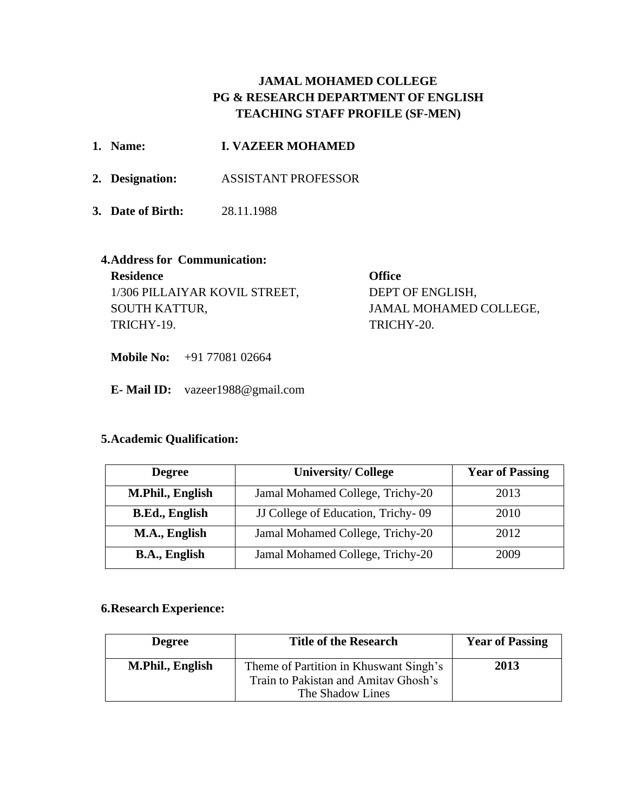# **JAMAL MOHAMED COLLEGE PG & RESEARCH DEPARTMENT OF ENGLISH TEACHING STAFF PROFILE (SF-MEN)**

|                               | 1. Name:                             | <b>I. VAZEER MOHAMED</b>   |                        |
|-------------------------------|--------------------------------------|----------------------------|------------------------|
|                               | 2. Designation:                      | <b>ASSISTANT PROFESSOR</b> |                        |
|                               | 3. Date of Birth:                    | 28.11.1988                 |                        |
|                               | <b>4. Address for Communication:</b> |                            |                        |
|                               | <b>Residence</b>                     |                            | <b>Office</b>          |
| 1/306 PILLAIYAR KOVIL STREET, |                                      |                            | DEPT OF ENGLISH,       |
| SOUTH KATTUR,                 |                                      |                            | JAMAL MOHAMED COLLEGE, |
| TRICHY-19.                    |                                      |                            | TRICHY-20.             |

**Mobile No:** +91 77081 02664

**E- Mail ID:** [vazeer1988@gmail.com](mailto:vazeer1988@gmail.com)

## **5.Academic Qualification:**

| <b>Degree</b>         | <b>University/College</b>          |      |
|-----------------------|------------------------------------|------|
| M.Phil., English      | Jamal Mohamed College, Trichy-20   | 2013 |
| <b>B.Ed., English</b> | JJ College of Education, Trichy-09 | 2010 |
| M.A., English         | Jamal Mohamed College, Trichy-20   | 2012 |
| <b>B.A., English</b>  | Jamal Mohamed College, Trichy-20   | 2009 |

## **6.Research Experience:**

| <b>Degree</b>    | <b>Title of the Research</b>                                                                       | <b>Year of Passing</b> |
|------------------|----------------------------------------------------------------------------------------------------|------------------------|
| M.Phil., English | Theme of Partition in Khuswant Singh's<br>Train to Pakistan and Amitav Ghosh's<br>The Shadow Lines | 2013                   |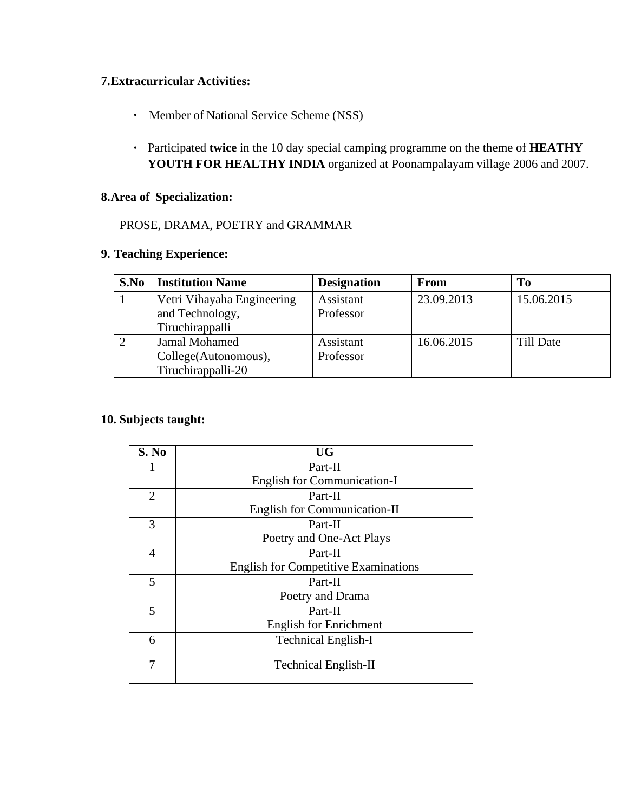## **7.Extracurricular Activities:**

- Member of National Service Scheme (NSS)
- Participated **twice** in the 10 day special camping programme on the theme of **HEATHY YOUTH FOR HEALTHY INDIA** organized at Poonampalayam village 2006 and 2007.

#### **8.Area of Specialization:**

## PROSE, DRAMA, POETRY and GRAMMAR

#### **9. Teaching Experience:**

| S.No | <b>Institution Name</b>    | <b>Designation</b> | <b>From</b> | Tо         |
|------|----------------------------|--------------------|-------------|------------|
|      | Vetri Vihayaha Engineering | Assistant          | 23.09.2013  | 15.06.2015 |
|      | and Technology,            | Professor          |             |            |
|      | Tiruchirappalli            |                    |             |            |
|      | Jamal Mohamed              | Assistant          | 16.06.2015  | Till Date  |
|      | College(Autonomous),       | Professor          |             |            |
|      | Tiruchirappalli-20         |                    |             |            |

## **10. Subjects taught:**

| S. No          | <b>UG</b>                                   |  |
|----------------|---------------------------------------------|--|
|                | Part-II                                     |  |
|                | <b>English for Communication-I</b>          |  |
| $\overline{2}$ | Part-II                                     |  |
|                | <b>English for Communication-II</b>         |  |
| 3              | Part-II                                     |  |
|                | Poetry and One-Act Plays                    |  |
| $\overline{4}$ | Part-II                                     |  |
|                | <b>English for Competitive Examinations</b> |  |
| 5              | Part-II                                     |  |
|                | Poetry and Drama                            |  |
| 5              | Part-II                                     |  |
|                | <b>English for Enrichment</b>               |  |
| 6              | <b>Technical English-I</b>                  |  |
|                |                                             |  |
| 7              | <b>Technical English-II</b>                 |  |
|                |                                             |  |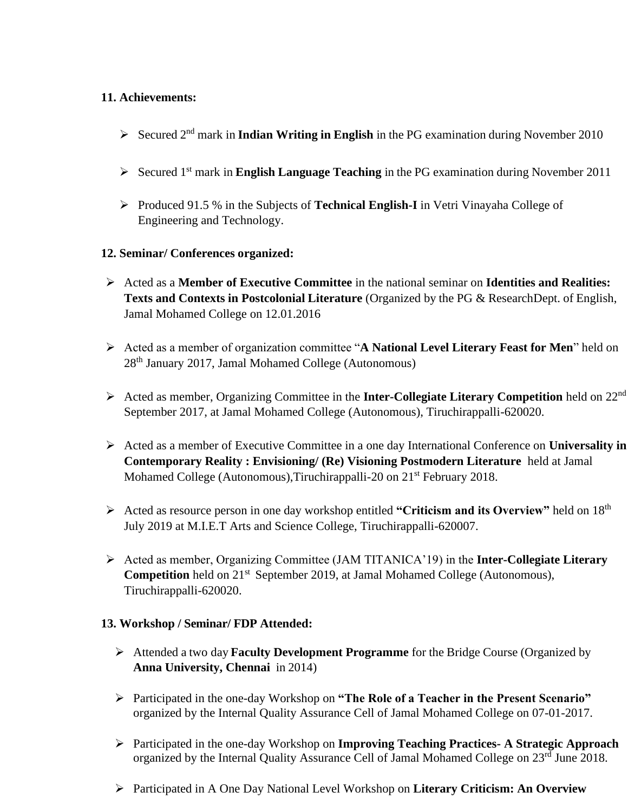## **11. Achievements:**

- ➢ Secured 2 nd mark in **Indian Writing in English** in the PG examination during November 2010
- ➢ Secured 1 st mark in **English Language Teaching** in the PG examination during November 2011
- ➢ Produced 91.5 % in the Subjects of **Technical English-I** in Vetri Vinayaha College of Engineering and Technology.
- **12. Seminar/ Conferences organized:**
- ➢ Acted as a **Member of Executive Committee** in the national seminar on **Identities and Realities: Texts and Contexts in Postcolonial Literature** (Organized by the PG & ResearchDept. of English, Jamal Mohamed College on 12.01.2016
- ➢ Acted as a member of organization committee "**A National Level Literary Feast for Men**" held on 28th January 2017, Jamal Mohamed College (Autonomous)
- ➢ Acted as member, Organizing Committee in the **Inter-Collegiate Literary Competition** held on 22nd September 2017, at Jamal Mohamed College (Autonomous), Tiruchirappalli-620020.
- ➢ Acted as a member of Executive Committee in a one day International Conference on **Universality in Contemporary Reality : Envisioning/ (Re) Visioning Postmodern Literature** held at Jamal Mohamed College (Autonomous), Tiruchirappalli-20 on 21<sup>st</sup> February 2018.
- ➢ Acted as resource person in one day workshop entitled **"Criticism and its Overview"** held on 18th July 2019 at M.I.E.T Arts and Science College, Tiruchirappalli-620007.
- ➢ Acted as member, Organizing Committee (JAM TITANICA'19) in the **Inter-Collegiate Literary Competition** held on 21<sup>st</sup> September 2019, at Jamal Mohamed College (Autonomous), Tiruchirappalli-620020.

### **13. Workshop / Seminar/ FDP Attended:**

- ➢ Attended a two day **Faculty Development Programme** for the Bridge Course (Organized by **Anna University, Chennai** in 2014)
- ➢ Participated in the one-day Workshop on **"The Role of a Teacher in the Present Scenario"** organized by the Internal Quality Assurance Cell of Jamal Mohamed College on 07-01-2017.
- ➢ Participated in the one-day Workshop on **Improving Teaching Practices- A Strategic Approach** organized by the Internal Quality Assurance Cell of Jamal Mohamed College on 23<sup>rd</sup> June 2018.
- ➢ Participated in A One Day National Level Workshop on **Literary Criticism: An Overview**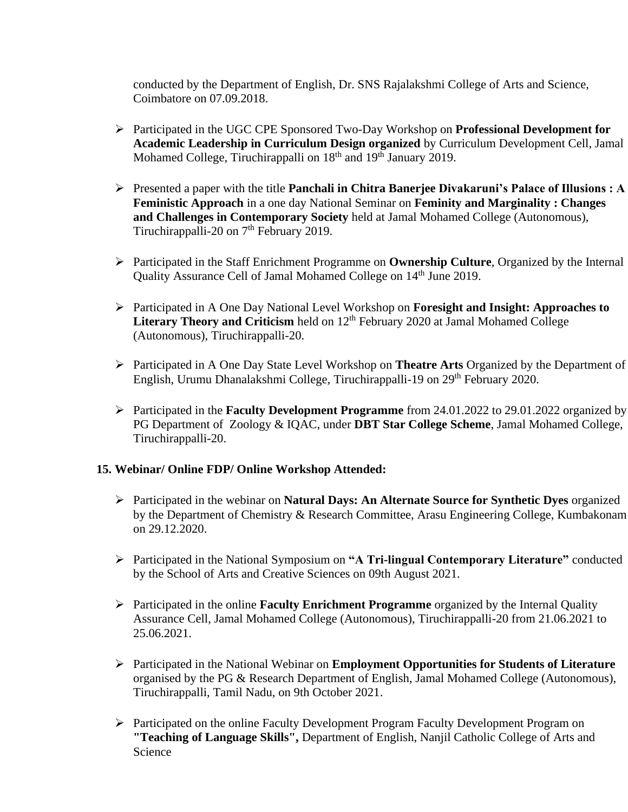conducted by the Department of English, Dr. SNS Rajalakshmi College of Arts and Science, Coimbatore on 07.09.2018.

- ➢ Participated in the UGC CPE Sponsored Two-Day Workshop on **Professional Development for Academic Leadership in Curriculum Design organized** by Curriculum Development Cell, Jamal Mohamed College, Tiruchirappalli on 18<sup>th</sup> and 19<sup>th</sup> January 2019.
- ➢ Presented a paper with the title **Panchali in Chitra Banerjee Divakaruni's Palace of Illusions : A Feministic Approach** in a one day National Seminar on **Feminity and Marginality : Changes and Challenges in Contemporary Society** held at Jamal Mohamed College (Autonomous), Tiruchirappalli-20 on 7<sup>th</sup> February 2019.
- ➢ Participated in the Staff Enrichment Programme on **Ownership Culture**, Organized by the Internal Quality Assurance Cell of Jamal Mohamed College on 14<sup>th</sup> June 2019.
- ➢ Participated in A One Day National Level Workshop on **Foresight and Insight: Approaches to**  Literary Theory and Criticism held on 12<sup>th</sup> February 2020 at Jamal Mohamed College (Autonomous), Tiruchirappalli-20.
- ➢ Participated in A One Day State Level Workshop on **Theatre Arts** Organized by the Department of English, Urumu Dhanalakshmi College, Tiruchirappalli-19 on 29th February 2020.
- ➢ Participated in the **Faculty Development Programme** from 24.01.2022 to 29.01.2022 organized by PG Department of Zoology & IQAC, under **DBT Star College Scheme**, Jamal Mohamed College, Tiruchirappalli-20.

#### **15. Webinar/ Online FDP/ Online Workshop Attended:**

- ➢ Participated in the webinar on **Natural Days: An Alternate Source for Synthetic Dyes** organized by the Department of Chemistry & Research Committee, Arasu Engineering College, Kumbakonam on 29.12.2020.
- ➢ Participated in the National Symposium on **"A Tri-lingual Contemporary Literature"** conducted by the School of Arts and Creative Sciences on 09th August 2021.
- ➢ Participated in the online **Faculty Enrichment Programme** organized by the Internal Quality Assurance Cell, Jamal Mohamed College (Autonomous), Tiruchirappalli-20 from 21.06.2021 to 25.06.2021.
- ➢ Participated in the National Webinar on **Employment Opportunities for Students of Literature** organised by the PG & Research Department of English, Jamal Mohamed College (Autonomous), Tiruchirappalli, Tamil Nadu, on 9th October 2021.
- ➢ Participated on the online Faculty Development Program Faculty Development Program on **"Teaching of Language Skills",** Department of English, Nanjil Catholic College of Arts and Science